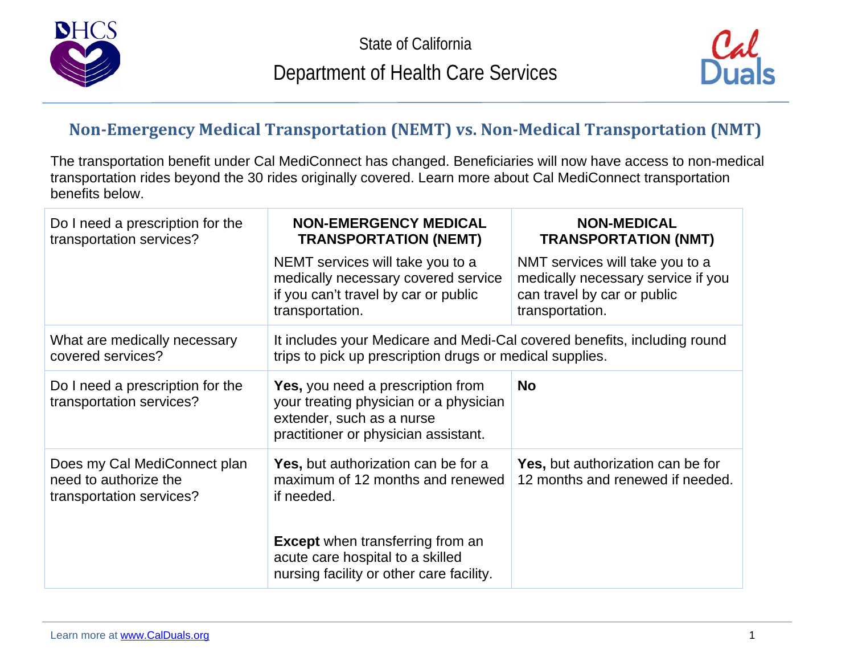



## **Non-Emergency Medical Transportation (NEMT) vs. Non-Medical Transportation (NMT)**

The transportation benefit under Cal MediConnect has changed. Beneficiaries will now have access to non-medical transportation rides beyond the 30 rides originally covered. Learn more about Cal MediConnect transportation benefits below.

| Do I need a prescription for the<br>transportation services?                      | <b>NON-EMERGENCY MEDICAL</b><br><b>TRANSPORTATION (NEMT)</b>                                                                                            | <b>NON-MEDICAL</b><br><b>TRANSPORTATION (NMT)</b>                                                                       |
|-----------------------------------------------------------------------------------|---------------------------------------------------------------------------------------------------------------------------------------------------------|-------------------------------------------------------------------------------------------------------------------------|
|                                                                                   | NEMT services will take you to a<br>medically necessary covered service<br>if you can't travel by car or public<br>transportation.                      | NMT services will take you to a<br>medically necessary service if you<br>can travel by car or public<br>transportation. |
| What are medically necessary<br>covered services?                                 | It includes your Medicare and Medi-Cal covered benefits, including round<br>trips to pick up prescription drugs or medical supplies.                    |                                                                                                                         |
| Do I need a prescription for the<br>transportation services?                      | <b>Yes, you need a prescription from</b><br>your treating physician or a physician<br>extender, such as a nurse<br>practitioner or physician assistant. | <b>No</b>                                                                                                               |
| Does my Cal MediConnect plan<br>need to authorize the<br>transportation services? | Yes, but authorization can be for a<br>maximum of 12 months and renewed<br>if needed.                                                                   | Yes, but authorization can be for<br>12 months and renewed if needed.                                                   |
|                                                                                   | <b>Except</b> when transferring from an<br>acute care hospital to a skilled<br>nursing facility or other care facility.                                 |                                                                                                                         |